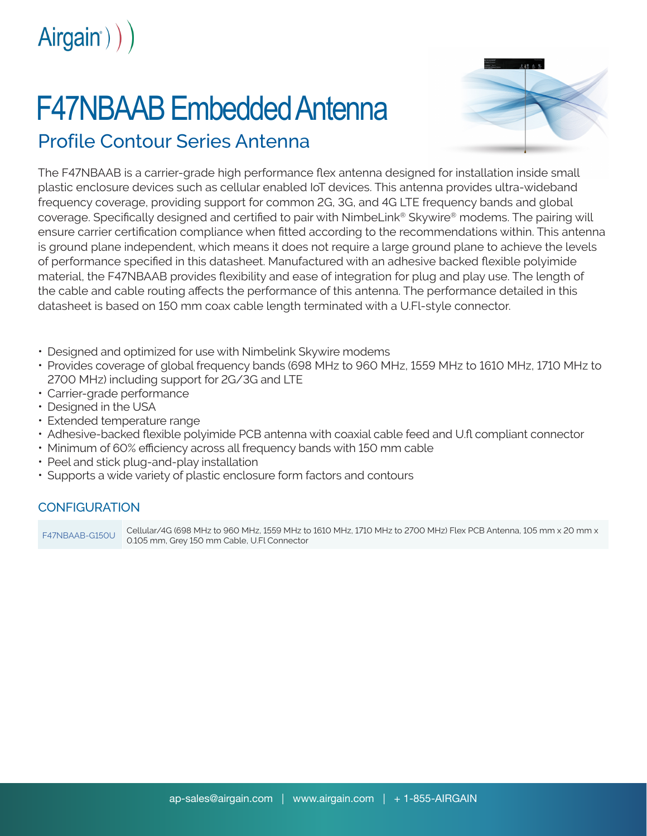

## F47NBAAB Embedded Antenna



Profile Contour Series Antenna

The F47NBAAB is a carrier-grade high performance flex antenna designed for installation inside small plastic enclosure devices such as cellular enabled IoT devices. This antenna provides ultra-wideband frequency coverage, providing support for common 2G, 3G, and 4G LTE frequency bands and global coverage. Specifically designed and certified to pair with NimbeLink® Skywire® modems. The pairing will ensure carrier certification compliance when fitted according to the recommendations within. This antenna is ground plane independent, which means it does not require a large ground plane to achieve the levels of performance specified in this datasheet. Manufactured with an adhesive backed flexible polyimide material, the F47NBAAB provides flexibility and ease of integration for plug and play use. The length of the cable and cable routing affects the performance of this antenna. The performance detailed in this datasheet is based on 150 mm coax cable length terminated with a U.Fl-style connector.

- Designed and optimized for use with Nimbelink Skywire modems
- Provides coverage of global frequency bands (698 MHz to 960 MHz, 1559 MHz to 1610 MHz, 1710 MHz to 2700 MHz) including support for 2G/3G and LTE
- Carrier-grade performance
- Designed in the USA
- Extended temperature range
- Adhesive-backed flexible polyimide PCB antenna with coaxial cable feed and U.fl compliant connector
- Minimum of 60% efficiency across all frequency bands with 150 mm cable
- Peel and stick plug-and-play installation
- Supports a wide variety of plastic enclosure form factors and contours

## CONFIGURATION

F47NBAAB-G150U Cellular/4G (698 MHz to 960 MHz, 1559 MHz to 1610 MHz, 1710 MHz to 2700 MHz) Flex PCB Antenna, 105 mm x 20 mm x 0.105 mm, Grey 150 mm Cable, U.Fl Connector